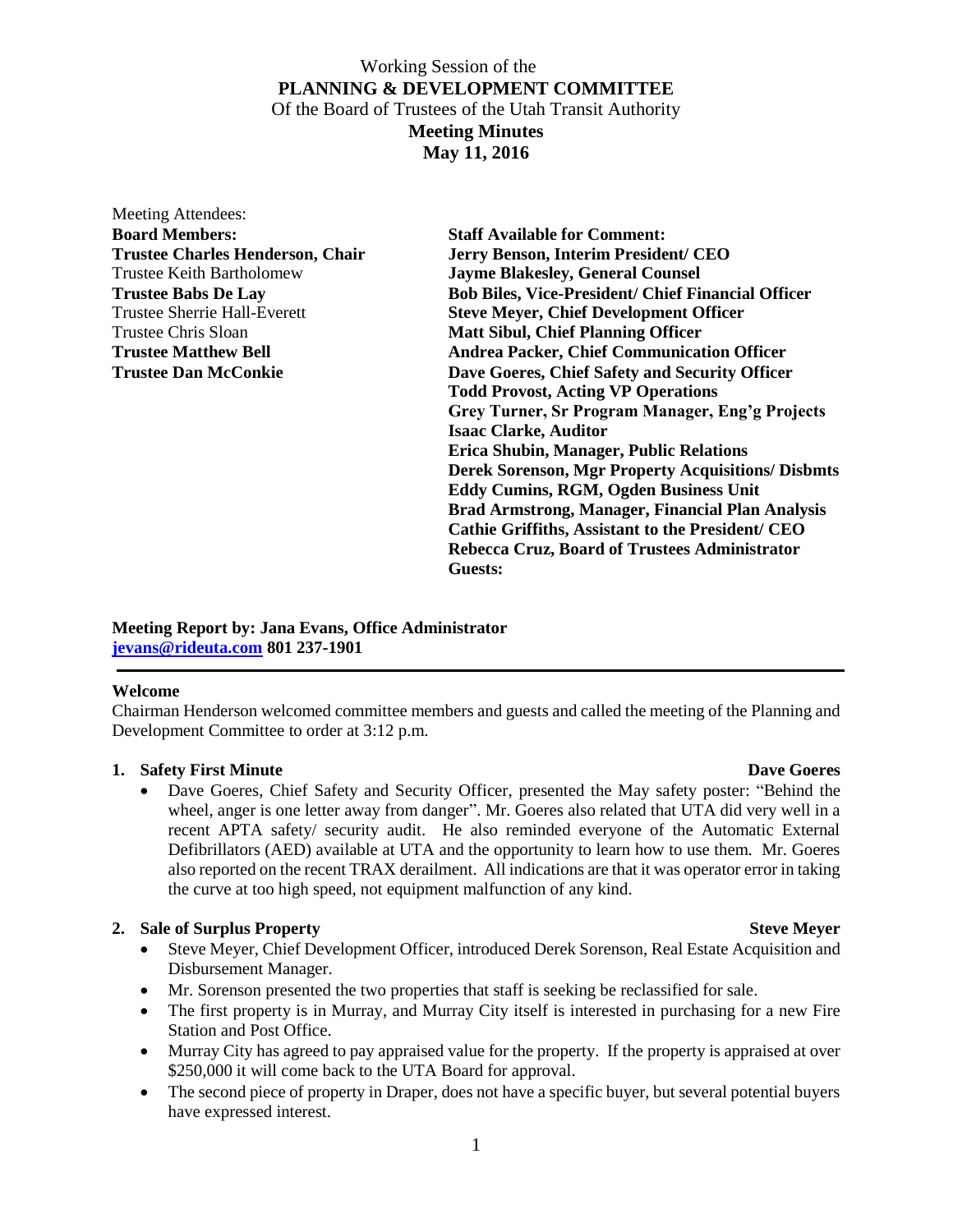| Meeting Attendees:                      |                                                           |
|-----------------------------------------|-----------------------------------------------------------|
| <b>Board Members:</b>                   | <b>Staff Available for Comment:</b>                       |
| <b>Trustee Charles Henderson, Chair</b> | Jerry Benson, Interim President/ CEO                      |
| <b>Trustee Keith Bartholomew</b>        | <b>Jayme Blakesley, General Counsel</b>                   |
| <b>Trustee Babs De Lay</b>              | <b>Bob Biles, Vice-President/ Chief Financial Officer</b> |
| Trustee Sherrie Hall-Everett            | <b>Steve Meyer, Chief Development Officer</b>             |
| Trustee Chris Sloan                     | <b>Matt Sibul, Chief Planning Officer</b>                 |
| <b>Trustee Matthew Bell</b>             | <b>Andrea Packer, Chief Communication Officer</b>         |
| <b>Trustee Dan McConkie</b>             | Dave Goeres, Chief Safety and Security Officer            |
|                                         | <b>Todd Provost, Acting VP Operations</b>                 |
|                                         | Grey Turner, Sr Program Manager, Eng'g Projects           |
|                                         | <b>Isaac Clarke, Auditor</b>                              |
|                                         | Erica Shubin, Manager, Public Relations                   |
|                                         | <b>Derek Sorenson, Mgr Property Acquisitions/ Disbmts</b> |
|                                         | <b>Eddy Cumins, RGM, Ogden Business Unit</b>              |
|                                         | <b>Brad Armstrong, Manager, Financial Plan Analysis</b>   |
|                                         | Cathie Griffiths, Assistant to the President/ CEO         |
|                                         | Rebecca Cruz, Board of Trustees Administrator             |
|                                         | Guests:                                                   |
|                                         |                                                           |

**Meeting Report by: Jana Evans, Office Administrator [jevans@rideuta.com](mailto:jevans@rideuta.com) 801 237-1901**

### **Welcome**

Chairman Henderson welcomed committee members and guests and called the meeting of the Planning and Development Committee to order at 3:12 p.m.

## **1.** Safety First Minute Dave Goeres

 Dave Goeres, Chief Safety and Security Officer, presented the May safety poster: "Behind the wheel, anger is one letter away from danger". Mr. Goeres also related that UTA did very well in a recent APTA safety/ security audit. He also reminded everyone of the Automatic External Defibrillators (AED) available at UTA and the opportunity to learn how to use them. Mr. Goeres also reported on the recent TRAX derailment. All indications are that it was operator error in taking the curve at too high speed, not equipment malfunction of any kind.

## **2.** Sale of Surplus Property Steve Meyer

- Steve Meyer, Chief Development Officer, introduced Derek Sorenson, Real Estate Acquisition and Disbursement Manager.
- Mr. Sorenson presented the two properties that staff is seeking be reclassified for sale.
- The first property is in Murray, and Murray City itself is interested in purchasing for a new Fire Station and Post Office.
- Murray City has agreed to pay appraised value for the property. If the property is appraised at over \$250,000 it will come back to the UTA Board for approval.
- The second piece of property in Draper, does not have a specific buyer, but several potential buyers have expressed interest.

1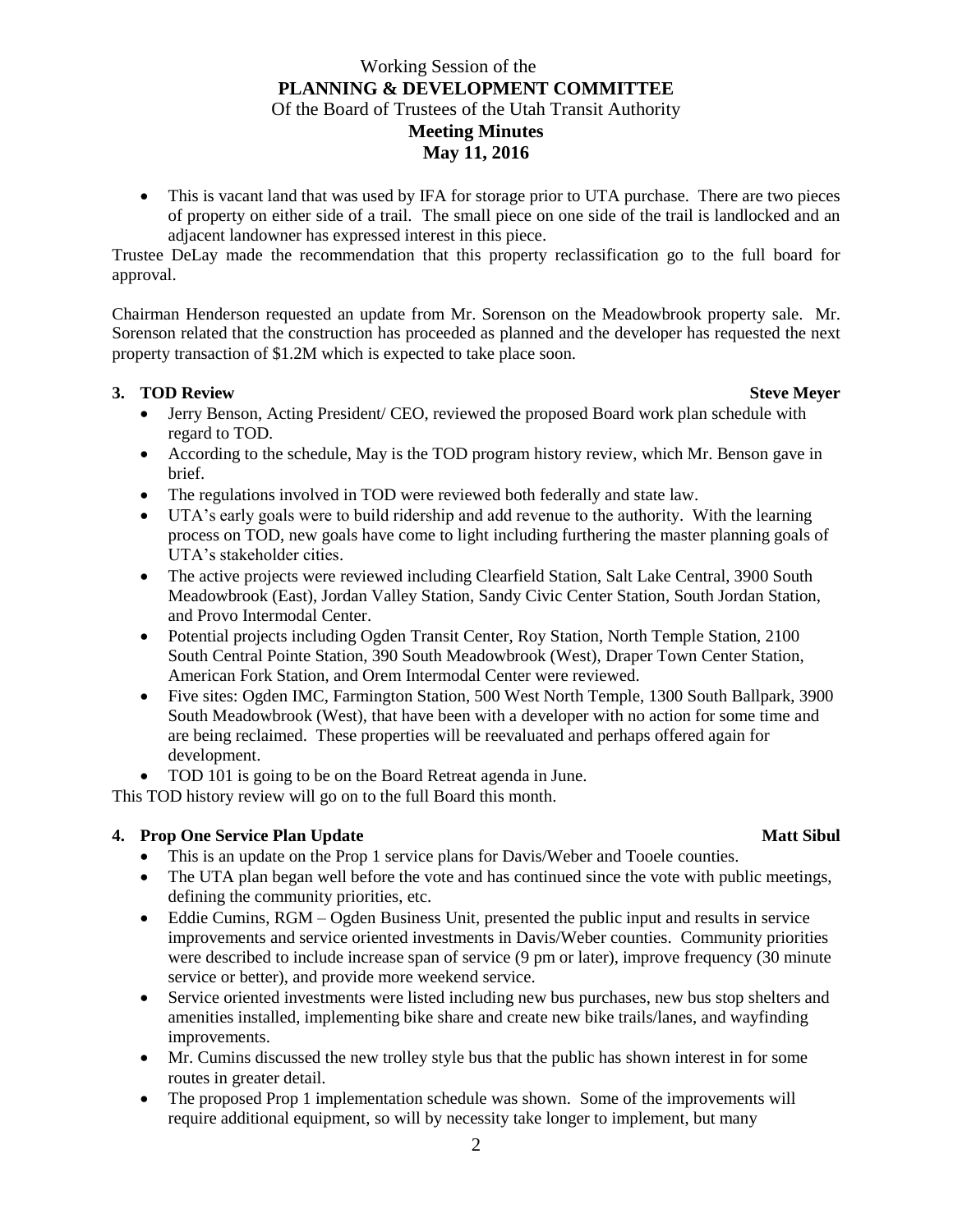This is vacant land that was used by IFA for storage prior to UTA purchase. There are two pieces of property on either side of a trail. The small piece on one side of the trail is landlocked and an adjacent landowner has expressed interest in this piece.

Trustee DeLay made the recommendation that this property reclassification go to the full board for approval.

Chairman Henderson requested an update from Mr. Sorenson on the Meadowbrook property sale. Mr. Sorenson related that the construction has proceeded as planned and the developer has requested the next property transaction of \$1.2M which is expected to take place soon.

## **3. TOD** Review Steve Meyer

- Jerry Benson, Acting President/ CEO, reviewed the proposed Board work plan schedule with regard to TOD.
- According to the schedule, May is the TOD program history review, which Mr. Benson gave in brief.
- The regulations involved in TOD were reviewed both federally and state law.
- UTA's early goals were to build ridership and add revenue to the authority. With the learning process on TOD, new goals have come to light including furthering the master planning goals of UTA's stakeholder cities.
- The active projects were reviewed including Clearfield Station, Salt Lake Central, 3900 South Meadowbrook (East), Jordan Valley Station, Sandy Civic Center Station, South Jordan Station, and Provo Intermodal Center.
- Potential projects including Ogden Transit Center, Roy Station, North Temple Station, 2100 South Central Pointe Station, 390 South Meadowbrook (West), Draper Town Center Station, American Fork Station, and Orem Intermodal Center were reviewed.
- Five sites: Ogden IMC, Farmington Station, 500 West North Temple, 1300 South Ballpark, 3900 South Meadowbrook (West), that have been with a developer with no action for some time and are being reclaimed. These properties will be reevaluated and perhaps offered again for development.
- TOD 101 is going to be on the Board Retreat agenda in June.

This TOD history review will go on to the full Board this month.

## **4. Prop One Service Plan Update** Matt Sibul

- This is an update on the Prop 1 service plans for Davis/Weber and Tooele counties.
- The UTA plan began well before the vote and has continued since the vote with public meetings, defining the community priorities, etc.
- Eddie Cumins, RGM Ogden Business Unit, presented the public input and results in service improvements and service oriented investments in Davis/Weber counties. Community priorities were described to include increase span of service (9 pm or later), improve frequency (30 minute service or better), and provide more weekend service.
- Service oriented investments were listed including new bus purchases, new bus stop shelters and amenities installed, implementing bike share and create new bike trails/lanes, and wayfinding improvements.
- Mr. Cumins discussed the new trolley style bus that the public has shown interest in for some routes in greater detail.
- The proposed Prop 1 implementation schedule was shown. Some of the improvements will require additional equipment, so will by necessity take longer to implement, but many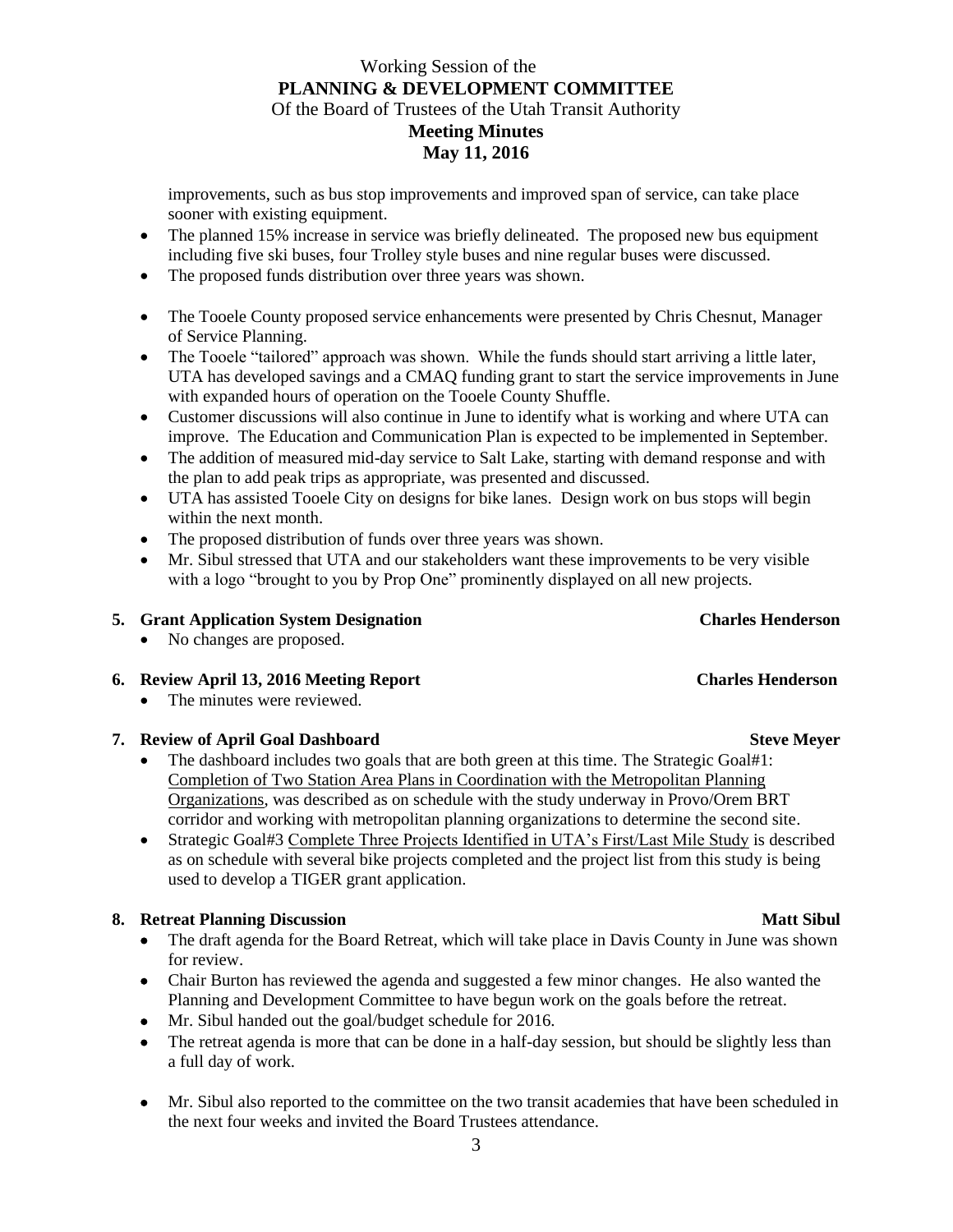improvements, such as bus stop improvements and improved span of service, can take place sooner with existing equipment.

- The planned 15% increase in service was briefly delineated. The proposed new bus equipment including five ski buses, four Trolley style buses and nine regular buses were discussed.
- The proposed funds distribution over three years was shown.
- The Tooele County proposed service enhancements were presented by Chris Chesnut, Manager of Service Planning.
- The Tooele "tailored" approach was shown. While the funds should start arriving a little later, UTA has developed savings and a CMAQ funding grant to start the service improvements in June with expanded hours of operation on the Tooele County Shuffle.
- Customer discussions will also continue in June to identify what is working and where UTA can improve. The Education and Communication Plan is expected to be implemented in September.
- The addition of measured mid-day service to Salt Lake, starting with demand response and with the plan to add peak trips as appropriate, was presented and discussed.
- UTA has assisted Tooele City on designs for bike lanes. Design work on bus stops will begin within the next month.
- The proposed distribution of funds over three years was shown.
- Mr. Sibul stressed that UTA and our stakeholders want these improvements to be very visible with a logo "brought to you by Prop One" prominently displayed on all new projects.

## **5. Grant Application System Designation Charles Henderson**

- No changes are proposed.
- **6. Review April 13, 2016 Meeting Report Charles Henderson**
	- The minutes were reviewed.

### **7. Review of April Goal Dashboard Steve Meyer** Steve Meyer

- The dashboard includes two goals that are both green at this time. The Strategic Goal#1: Completion of Two Station Area Plans in Coordination with the Metropolitan Planning Organizations, was described as on schedule with the study underway in Provo/Orem BRT corridor and working with metropolitan planning organizations to determine the second site.
- Strategic Goal#3 Complete Three Projects Identified in UTA's First/Last Mile Study is described as on schedule with several bike projects completed and the project list from this study is being used to develop a TIGER grant application.

## **8.** Retreat Planning Discussion **Matt Sibul**

- The draft agenda for the Board Retreat, which will take place in Davis County in June was shown for review.
- Chair Burton has reviewed the agenda and suggested a few minor changes. He also wanted the Planning and Development Committee to have begun work on the goals before the retreat.
- Mr. Sibul handed out the goal/budget schedule for 2016.
- The retreat agenda is more that can be done in a half-day session, but should be slightly less than a full day of work.
- Mr. Sibul also reported to the committee on the two transit academies that have been scheduled in the next four weeks and invited the Board Trustees attendance.

3